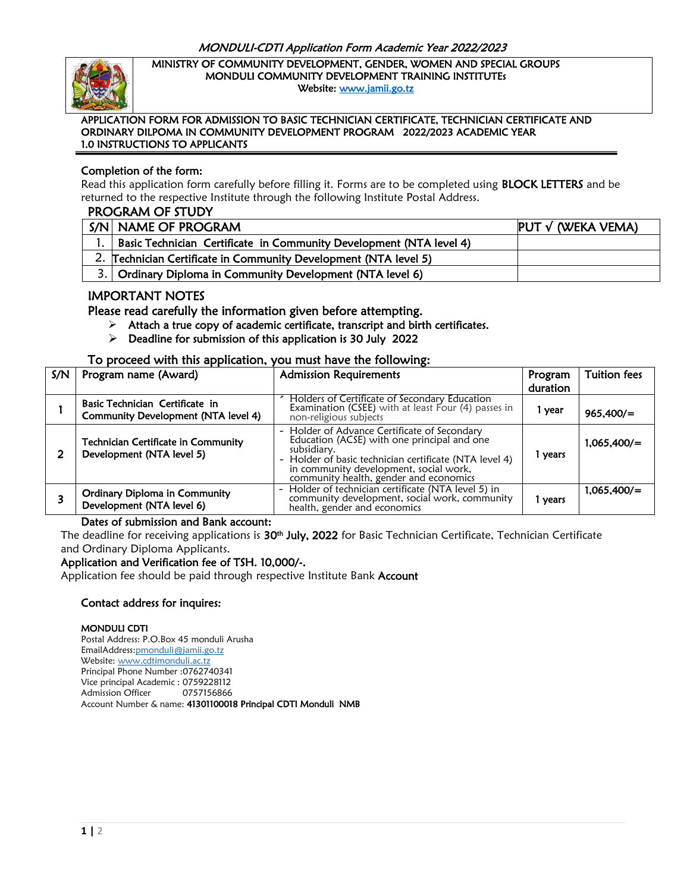

Ī

#### MINISTRY OF COMMUNITY DEVELOPMENT, GENDER, WOMEN AND SPECIAL GROUPS MONDULI COMMUNITY DEVELOPMENT TRAINING INSTITUTEs Website: [www.jamii.go.tz](http://www.jamii.go.tz/)

#### APPLICATION FORM FOR ADMISSION TO BASIC TECHNICIAN CERTIFICATE, TECHNICIAN CERTIFICATE AND ORDINARY DILPOMA IN COMMUNITY DEVELOPMENT PROGRAM 2022/2023 ACADEMIC YEAR 1.0 INSTRUCTIONS TO APPLICANTS

### Completion of the form:

Read this application form carefully before filling it. Forms are to be completed using BLOCK LETTERS and be returned to the respective Institute through the following Institute Postal Address.

#### PROGRAM OF STUDY

| S/N NAME OF PROGRAM                                                 | $PUT \vee (WEKA VEMA)$ |
|---------------------------------------------------------------------|------------------------|
| Basic Technician Certificate in Community Development (NTA level 4) |                        |
| 2. Technician Certificate in Community Development (NTA level 5)    |                        |
| 3. Ordinary Diploma in Community Development (NTA level 6)          |                        |

## IMPORTANT NOTES

Please read carefully the information given before attempting.

- $\triangleright$  Attach a true copy of academic certificate, transcript and birth certificates.
- $\triangleright$  Deadline for submission of this application is 30 July 2022

### To proceed with this application, you must have the following:

| S/N | Program name (Award)                                                    | <b>Admission Requirements</b>                                                                                                                                                                                                                            | Program  | <b>Tuition fees</b> |
|-----|-------------------------------------------------------------------------|----------------------------------------------------------------------------------------------------------------------------------------------------------------------------------------------------------------------------------------------------------|----------|---------------------|
|     |                                                                         |                                                                                                                                                                                                                                                          | duration |                     |
|     | Basic Technician Certificate in<br>Community Development (NTA level 4)  | Holders of Certificate of Secondary Education<br>Examination (CSEE) with at least Four (4) passes in<br>non-religious subjects                                                                                                                           | l year   | 965,400/            |
|     | <b>Technician Certificate in Community</b><br>Development (NTA level 5) | - Holder of Advance Certificate of Secondary<br>Education (ACSE) with one principal and one<br>subsidiary.<br>- Holder of basic technician certificate (NTA level 4)<br>in community development, social work,<br>community health, gender and economics | 1 years  | $1,065,400/$ =      |
|     | <b>Ordinary Diploma in Community</b><br>Development (NTA level 6)       | - Holder of technician certificate (NTA level 5) in<br>community development, social work, community<br>health, gender and economics                                                                                                                     | 1 years  | 1,065,400/          |

### Dates of submission and Bank account:

The deadline for receiving applications is **30th July, 2022** for Basic Technician Certificate, Technician Certificate and Ordinary Diploma Applicants.

### Application and Verification fee of TSH. 10,000/-.

Application fee should be paid through respective Institute Bank Account

### Contact address for inquires:

#### MONDULI CDTI

Postal Address: P.O.Box 45 monduli Arusha EmailAddress[:pmonduli@jamii.go.tz](mailto:pmonduli@jamii.go.tz) Website[: www.cdtimonduli.ac.tz](http://www.cdtimonduli.ac.tz/) Principal Phone Number :0762740341 Vice principal Academic : 0759228112 Admission Officer 0757156866 Account Number & name: 41301100018 Principal CDTI Monduli NMB